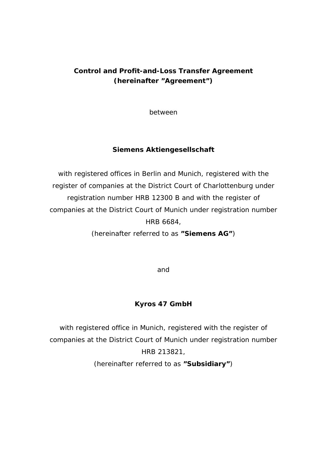# **Control and Profit-and-Loss Transfer Agreement (hereinafter "Agreement")**

between

## **Siemens Aktiengesellschaft**

with registered offices in Berlin and Munich, registered with the register of companies at the District Court of Charlottenburg under registration number HRB 12300 B and with the register of companies at the District Court of Munich under registration number HRB 6684,

(hereinafter referred to as **"Siemens AG"**)

and

## **Kyros 47 GmbH**

with registered office in Munich, registered with the register of companies at the District Court of Munich under registration number HRB 213821,

(hereinafter referred to as **"Subsidiary"**)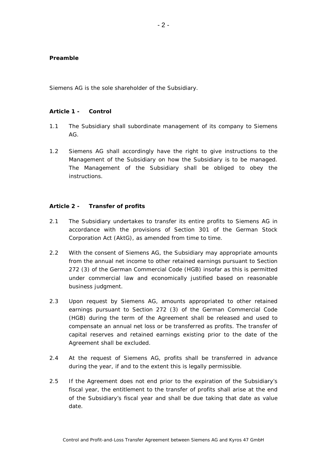#### **Preamble**

Siemens AG is the sole shareholder of the Subsidiary.

#### **Article 1 - Control**

- 1.1 The Subsidiary shall subordinate management of its company to Siemens AG.
- 1.2 Siemens AG shall accordingly have the right to give instructions to the Management of the Subsidiary on how the Subsidiary is to be managed. The Management of the Subsidiary shall be obliged to obey the instructions.

#### **Article 2 - Transfer of profits**

- 2.1 The Subsidiary undertakes to transfer its entire profits to Siemens AG in accordance with the provisions of Section 301 of the German Stock Corporation Act (AktG), as amended from time to time.
- 2.2 With the consent of Siemens AG, the Subsidiary may appropriate amounts from the annual net income to other retained earnings pursuant to Section 272 (3) of the German Commercial Code (HGB) insofar as this is permitted under commercial law and economically justified based on reasonable business judgment.
- 2.3 Upon request by Siemens AG, amounts appropriated to other retained earnings pursuant to Section 272 (3) of the German Commercial Code (HGB) during the term of the Agreement shall be released and used to compensate an annual net loss or be transferred as profits. The transfer of capital reserves and retained earnings existing prior to the date of the Agreement shall be excluded.
- 2.4 At the request of Siemens AG, profits shall be transferred in advance during the year, if and to the extent this is legally permissible.
- 2.5 If the Agreement does not end prior to the expiration of the Subsidiary's fiscal year, the entitlement to the transfer of profits shall arise at the end of the Subsidiary's fiscal year and shall be due taking that date as value date.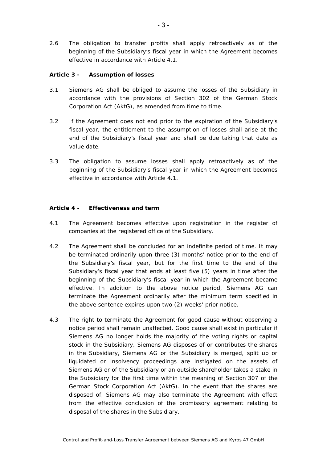2.6 The obligation to transfer profits shall apply retroactively as of the beginning of the Subsidiary's fiscal year in which the Agreement becomes effective in accordance with Article 4.1.

## **Article 3 - Assumption of losses**

- 3.1 Siemens AG shall be obliged to assume the losses of the Subsidiary in accordance with the provisions of Section 302 of the German Stock Corporation Act (AktG), as amended from time to time.
- 3.2 If the Agreement does not end prior to the expiration of the Subsidiary's fiscal year, the entitlement to the assumption of losses shall arise at the end of the Subsidiary's fiscal year and shall be due taking that date as value date.
- 3.3 The obligation to assume losses shall apply retroactively as of the beginning of the Subsidiary's fiscal year in which the Agreement becomes effective in accordance with Article 4.1.

### **Article 4 - Effectiveness and term**

- 4.1 The Agreement becomes effective upon registration in the register of companies at the registered office of the Subsidiary.
- 4.2 The Agreement shall be concluded for an indefinite period of time. It may be terminated ordinarily upon three (3) months' notice prior to the end of the Subsidiary's fiscal year, but for the first time to the end of the Subsidiary's fiscal year that ends at least five (5) years in time after the beginning of the Subsidiary's fiscal year in which the Agreement became effective. In addition to the above notice period, Siemens AG can terminate the Agreement ordinarily after the minimum term specified in the above sentence expires upon two (2) weeks' prior notice.
- 4.3 The right to terminate the Agreement for good cause without observing a notice period shall remain unaffected. Good cause shall exist in particular if Siemens AG no longer holds the majority of the voting rights or capital stock in the Subsidiary, Siemens AG disposes of or contributes the shares in the Subsidiary, Siemens AG or the Subsidiary is merged, split up or liquidated or insolvency proceedings are instigated on the assets of Siemens AG or of the Subsidiary or an outside shareholder takes a stake in the Subsidiary for the first time within the meaning of Section 307 of the German Stock Corporation Act (AktG). In the event that the shares are disposed of, Siemens AG may also terminate the Agreement with effect from the effective conclusion of the promissory agreement relating to disposal of the shares in the Subsidiary.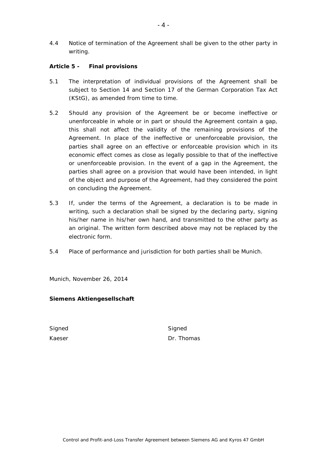4.4 Notice of termination of the Agreement shall be given to the other party in writing.

## **Article 5 - Final provisions**

- 5.1 The interpretation of individual provisions of the Agreement shall be subject to Section 14 and Section 17 of the German Corporation Tax Act (KStG), as amended from time to time.
- 5.2 Should any provision of the Agreement be or become ineffective or unenforceable in whole or in part or should the Agreement contain a gap, this shall not affect the validity of the remaining provisions of the Agreement. In place of the ineffective or unenforceable provision, the parties shall agree on an effective or enforceable provision which in its economic effect comes as close as legally possible to that of the ineffective or unenforceable provision. In the event of a gap in the Agreement, the parties shall agree on a provision that would have been intended, in light of the object and purpose of the Agreement, had they considered the point on concluding the Agreement.
- 5.3 If, under the terms of the Agreement, a declaration is to be made in writing, such a declaration shall be signed by the declaring party, signing his/her name in his/her own hand, and transmitted to the other party as an original. The written form described above may not be replaced by the electronic form.
- 5.4 Place of performance and jurisdiction for both parties shall be Munich.

Munich, November 26, 2014

## **Siemens Aktiengesellschaft**

Signed Signed Signed Signed Signed Signed Signed Signed Signed Signed Signed Signed Signed Signed Signed Signed Signed Signed Signed Signed Signed Signed Signed Signed Signed Signed Signed Signed Signed Signed Signed Signe

Kaeser **Dr. Thomas**